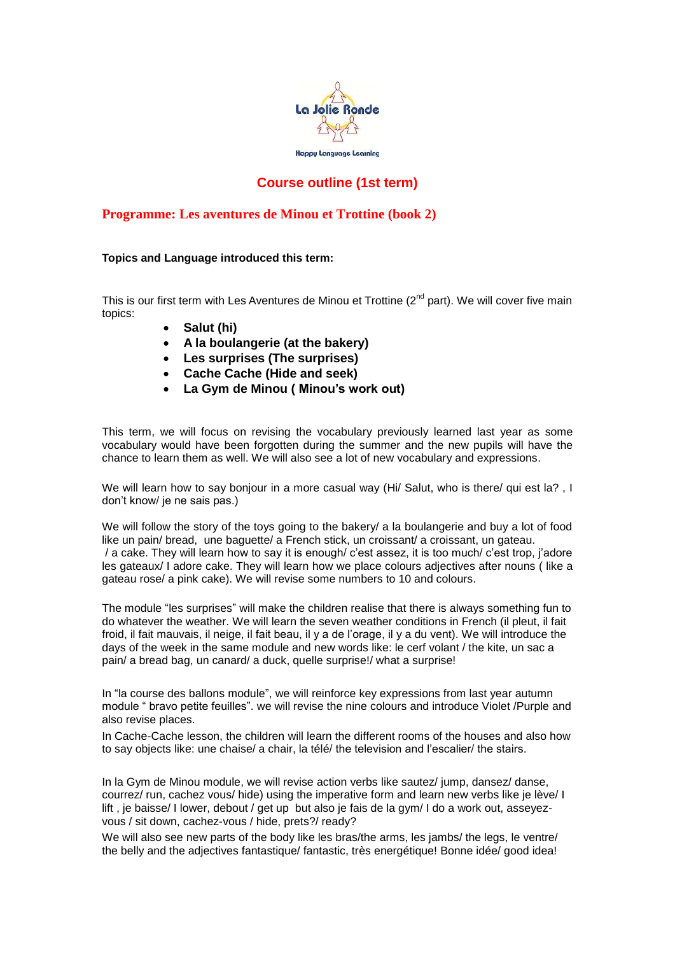

## **Course outline (1st term)**

## **Programme: Les aventures de Minou et Trottine (book 2)**

## **Topics and Language introduced this term:**

This is our first term with Les Aventures de Minou et Trottine  $(2^{nd}$  part). We will cover five main topics:

- **Salut (hi)**
- **A la boulangerie (at the bakery)**
- **Les surprises (The surprises)**
- **Cache Cache (Hide and seek)**
- **La Gym de Minou ( Minou's work out)**

This term, we will focus on revising the vocabulary previously learned last year as some vocabulary would have been forgotten during the summer and the new pupils will have the chance to learn them as well. We will also see a lot of new vocabulary and expressions.

We will learn how to say bonjour in a more casual way (Hi/ Salut, who is there/ qui est la?, I don't know/ je ne sais pas.)

We will follow the story of the toys going to the bakery/ a la boulangerie and buy a lot of food like un pain/ bread, une baguette/ a French stick, un croissant/ a croissant, un gateau. / a cake. They will learn how to say it is enough/ c'est assez, it is too much/ c'est trop, j'adore les gateaux/ I adore cake. They will learn how we place colours adjectives after nouns ( like a gateau rose/ a pink cake). We will revise some numbers to 10 and colours.

The module "les surprises" will make the children realise that there is always something fun to do whatever the weather. We will learn the seven weather conditions in French (il pleut, il fait froid, il fait mauvais, il neige, il fait beau, il y a de l'orage, il y a du vent). We will introduce the days of the week in the same module and new words like: le cerf volant / the kite, un sac a pain/ a bread bag, un canard/ a duck, quelle surprise!/ what a surprise!

In "la course des ballons module", we will reinforce key expressions from last year autumn module " bravo petite feuilles". we will revise the nine colours and introduce Violet /Purple and also revise places.

In Cache-Cache lesson, the children will learn the different rooms of the houses and also how to say objects like: une chaise/ a chair, la télé/ the television and l'escalier/ the stairs.

In la Gym de Minou module, we will revise action verbs like sautez/ jump, dansez/ danse, courrez/ run, cachez vous/ hide) using the imperative form and learn new verbs like je lève/ I lift, je baisse/ I lower, debout / get up but also je fais de la gym/ I do a work out, asseyezvous / sit down, cachez-vous / hide, prets?/ ready?

We will also see new parts of the body like les bras/the arms, les jambs/ the legs, le ventre/ the belly and the adjectives fantastique/ fantastic, très energétique! Bonne idée/ good idea!